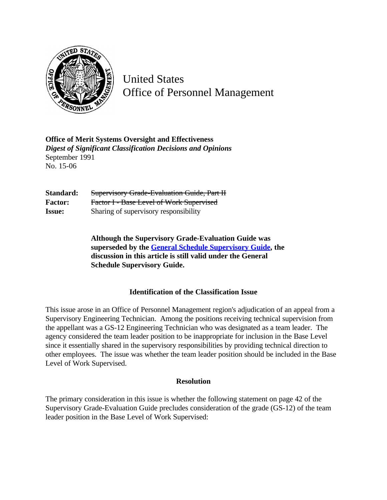

United States Office of Personnel Management

**Office of Merit Systems Oversight and Effectiveness** *Digest of Significant Classification Decisions and Opinions* September 1991 No. 15-06

Standard: Supervisory Grade-Evaluation Guide, Part II **Factor:** Factor I - Base Level of Work Supervised **Issue:** Sharing of supervisory responsibility

> **Although the Supervisory Grade-Evaluation Guide was superseded by the [General Schedule Supervisory Guide,](http://www.opm.gov/hr/fedclass/gssg.pdf) the discussion in this article is still valid under the General Schedule Supervisory Guide.**

## **Identification of the Classification Issue**

This issue arose in an Office of Personnel Management region's adjudication of an appeal from a Supervisory Engineering Technician. Among the positions receiving technical supervision from the appellant was a GS-12 Engineering Technician who was designated as a team leader. The agency considered the team leader position to be inappropriate for inclusion in the Base Level since it essentially shared in the supervisory responsibilities by providing technical direction to other employees. The issue was whether the team leader position should be included in the Base Level of Work Supervised.

## **Resolution**

The primary consideration in this issue is whether the following statement on page 42 of the Supervisory Grade-Evaluation Guide precludes consideration of the grade (GS-12) of the team leader position in the Base Level of Work Supervised: